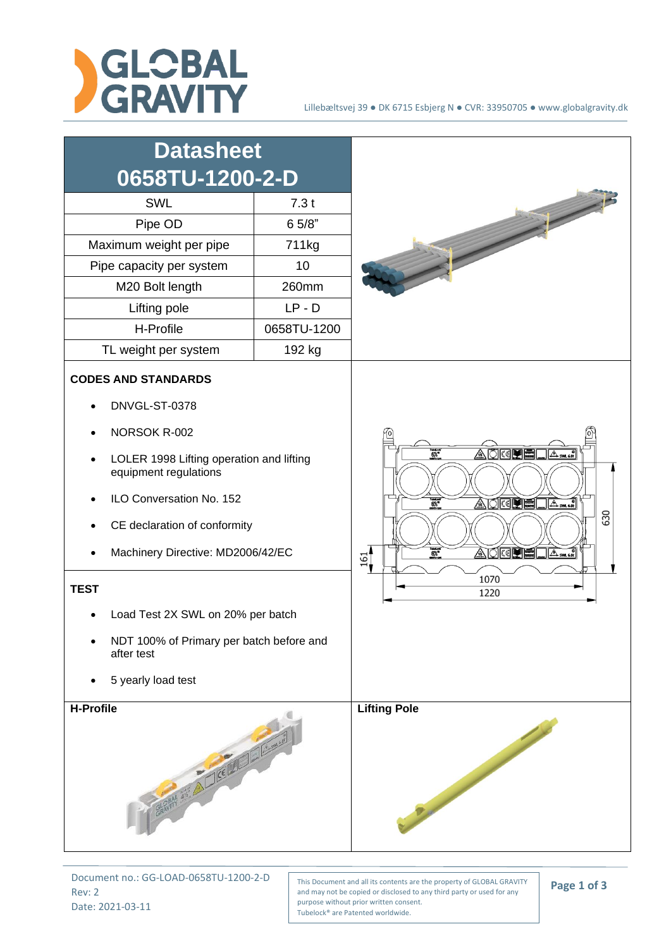



Document no.: GG-LOAD-0658TU-1200-2-D Rev: 2 Date: 2021-03-11

This Document and all its contents are the property of GLOBAL GRAVITY and may not be copied or disclosed to any third party or used for any purpose without prior written consent. Tubelock® are Patented worldwide.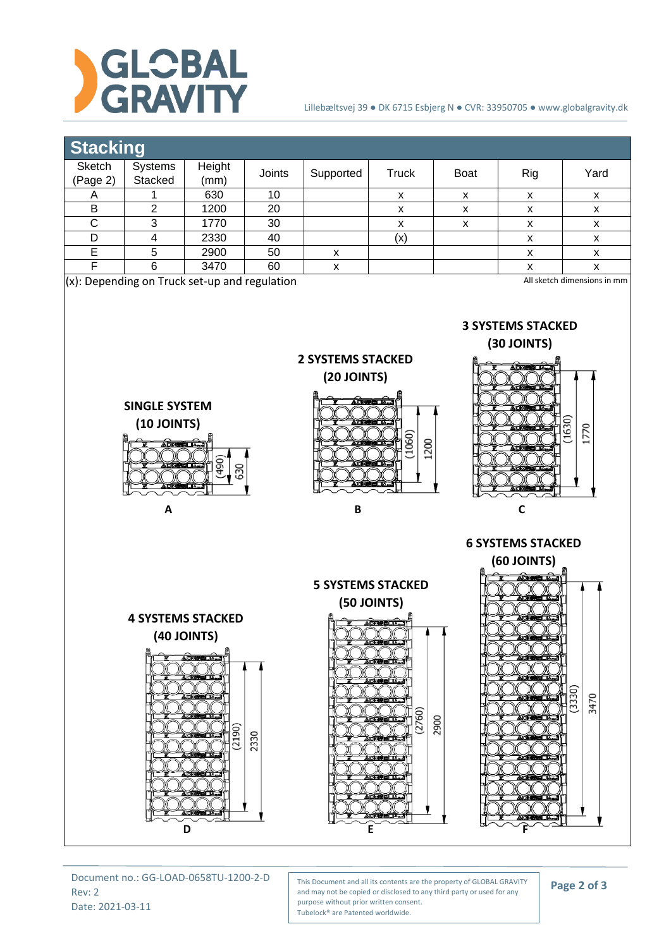

## Lillebæltsvej 39 ● DK 6715 Esbjerg N ● CVR: 33950705 ● www.globalgravity.dk



Document no.: GG-LOAD-0658TU-1200-2-D Rev: 2 Date: 2021-03-11

This Document and all its contents are the property of GLOBAL GRAVITY and may not be copied or disclosed to any third party or used for any purpose without prior written consent. Tubelock® are Patented worldwide.

**Page 2 of 3**